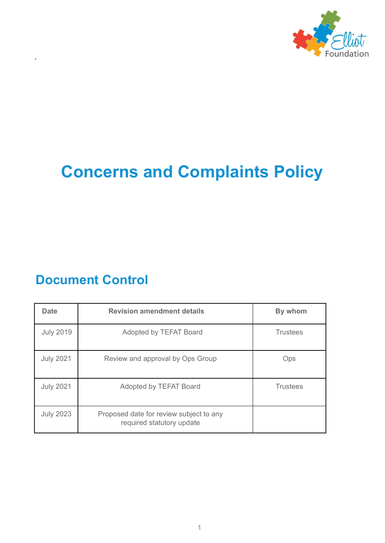

# **Concerns and Complaints Policy**

# **Document Control**

,

| <b>Date</b>      | <b>Revision amendment details</b>                                    | By whom         |  |
|------------------|----------------------------------------------------------------------|-----------------|--|
| <b>July 2019</b> | Adopted by TEFAT Board                                               | <b>Trustees</b> |  |
| <b>July 2021</b> | Review and approval by Ops Group                                     | Ops             |  |
| <b>July 2021</b> | <b>Trustees</b><br>Adopted by TEFAT Board                            |                 |  |
| <b>July 2023</b> | Proposed date for review subject to any<br>required statutory update |                 |  |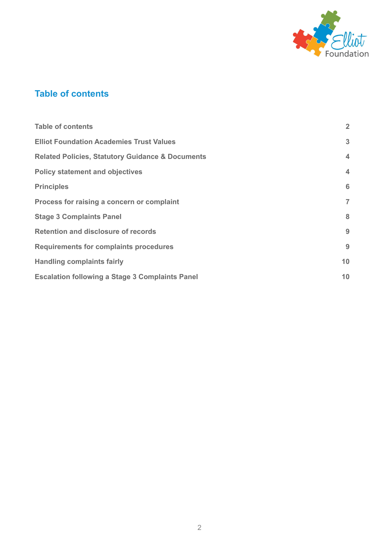

# <span id="page-1-0"></span>**Table of contents**

| <b>Table of contents</b>                                    | $\overline{2}$          |
|-------------------------------------------------------------|-------------------------|
| <b>Elliot Foundation Academies Trust Values</b>             | 3                       |
| <b>Related Policies, Statutory Guidance &amp; Documents</b> | $\overline{4}$          |
| <b>Policy statement and objectives</b>                      | $\overline{\mathbf{4}}$ |
| <b>Principles</b>                                           | 6                       |
| Process for raising a concern or complaint                  | $\overline{7}$          |
| <b>Stage 3 Complaints Panel</b>                             | 8                       |
| <b>Retention and disclosure of records</b>                  | 9                       |
| <b>Requirements for complaints procedures</b>               | 9                       |
| <b>Handling complaints fairly</b>                           | 10                      |
| <b>Escalation following a Stage 3 Complaints Panel</b>      | 10                      |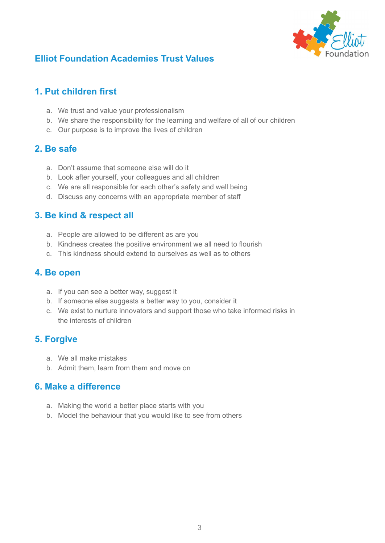

# <span id="page-2-0"></span>**Elliot Foundation Academies Trust Values**

## **1. Put children first**

- a. We trust and value your professionalism
- b. We share the responsibility for the learning and welfare of all of our children
- c. Our purpose is to improve the lives of children

#### **2. Be safe**

- a. Don't assume that someone else will do it
- b. Look after yourself, your colleagues and all children
- c. We are all responsible for each other's safety and well being
- d. Discuss any concerns with an appropriate member of staff

#### **3. Be kind & respect all**

- a. People are allowed to be different as are you
- b. Kindness creates the positive environment we all need to flourish
- c. This kindness should extend to ourselves as well as to others

#### **4. Be open**

- a. If you can see a better way, suggest it
- b. If someone else suggests a better way to you, consider it
- c. We exist to nurture innovators and support those who take informed risks in the interests of children

#### **5. Forgive**

- a. We all make mistakes
- b. Admit them, learn from them and move on

#### **6. Make a difference**

- a. Making the world a better place starts with you
- b. Model the behaviour that you would like to see from others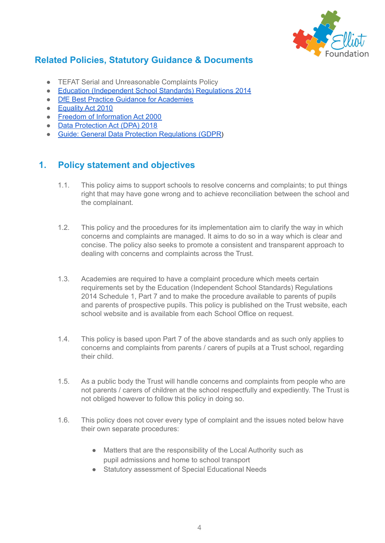

# <span id="page-3-0"></span>**Related Policies, Statutory Guidance & Documents**

- TEFAT Serial and Unreasonable Complaints Policy
- Education [\(Independent](https://www.legislation.gov.uk/uksi/2014/3283/schedule/made) School Standards) Regulations 2014
- DfE Best Practice Guidance for [Academies](https://www.gov.uk/government/publications/setting-up-an-academies-complaints-procedure/best-practice-guidance-for-academies-complaints-procedures)
- [Equality](https://www.legislation.gov.uk/ukpga/2010/15/contents) Act 2010
- Freedom of [Information](https://www.legislation.gov.uk/ukpga/2000/36/contents) Act 2000
- **Data [Protection](https://www.legislation.gov.uk/ukpga/2018/12/contents/enacted) Act (DPA) 2018**
- Guide: General Data Protection [Regulations](https://ico.org.uk/for-organisations/guide-to-data-protection/guide-to-the-general-data-protection-regulation-gdpr/) (GDPR)

# <span id="page-3-1"></span>**1. Policy statement and objectives**

- 1.1. This policy aims to support schools to resolve concerns and complaints; to put things right that may have gone wrong and to achieve reconciliation between the school and the complainant.
- 1.2. This policy and the procedures for its implementation aim to clarify the way in which concerns and complaints are managed. It aims to do so in a way which is clear and concise. The policy also seeks to promote a consistent and transparent approach to dealing with concerns and complaints across the Trust.
- 1.3. Academies are required to have a complaint procedure which meets certain requirements set by the Education (Independent School Standards) Regulations 2014 Schedule 1, Part 7 and to make the procedure available to parents of pupils and parents of prospective pupils. This policy is published on the Trust website, each school website and is available from each School Office on request.
- 1.4. This policy is based upon Part 7 of the above standards and as such only applies to concerns and complaints from parents / carers of pupils at a Trust school, regarding their child.
- 1.5. As a public body the Trust will handle concerns and complaints from people who are not parents / carers of children at the school respectfully and expediently. The Trust is not obliged however to follow this policy in doing so.
- 1.6. This policy does not cover every type of complaint and the issues noted below have their own separate procedures:
	- Matters that are the responsibility of the Local Authority such as pupil admissions and home to school transport
	- Statutory assessment of Special Educational Needs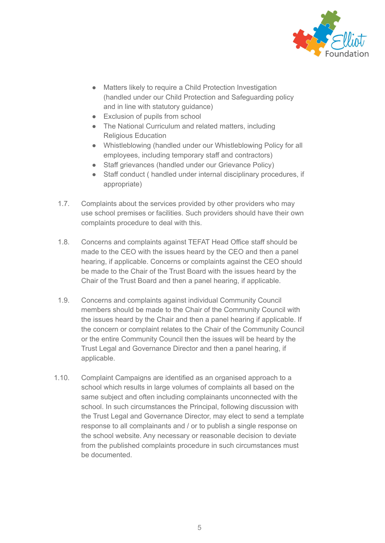

- Matters likely to require a Child Protection Investigation (handled under our Child Protection and Safeguarding policy and in line with statutory guidance)
- Exclusion of pupils from school
- The National Curriculum and related matters, including Religious Education
- Whistleblowing (handled under our Whistleblowing Policy for all employees, including temporary staff and contractors)
- Staff grievances (handled under our Grievance Policy)
- Staff conduct ( handled under internal disciplinary procedures, if appropriate)
- 1.7. Complaints about the services provided by other providers who may use school premises or facilities. Such providers should have their own complaints procedure to deal with this.
- 1.8. Concerns and complaints against TEFAT Head Office staff should be made to the CEO with the issues heard by the CEO and then a panel hearing, if applicable. Concerns or complaints against the CEO should be made to the Chair of the Trust Board with the issues heard by the Chair of the Trust Board and then a panel hearing, if applicable.
- 1.9. Concerns and complaints against individual Community Council members should be made to the Chair of the Community Council with the issues heard by the Chair and then a panel hearing if applicable. If the concern or complaint relates to the Chair of the Community Council or the entire Community Council then the issues will be heard by the Trust Legal and Governance Director and then a panel hearing, if applicable.
- 1.10. Complaint Campaigns are identified as an organised approach to a school which results in large volumes of complaints all based on the same subject and often including complainants unconnected with the school. In such circumstances the Principal, following discussion with the Trust Legal and Governance Director, may elect to send a template response to all complainants and / or to publish a single response on the school website. Any necessary or reasonable decision to deviate from the published complaints procedure in such circumstances must be documented.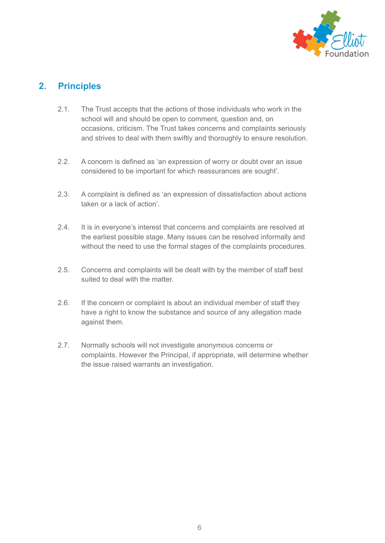

# <span id="page-5-0"></span>**2. Principles**

- 2.1. The Trust accepts that the actions of those individuals who work in the school will and should be open to comment, question and, on occasions, criticism. The Trust takes concerns and complaints seriously and strives to deal with them swiftly and thoroughly to ensure resolution.
- 2.2. A concern is defined as 'an expression of worry or doubt over an issue considered to be important for which reassurances are sought'.
- 2.3. A complaint is defined as 'an expression of dissatisfaction about actions taken or a lack of action'.
- 2.4. It is in everyone's interest that concerns and complaints are resolved at the earliest possible stage. Many issues can be resolved informally and without the need to use the formal stages of the complaints procedures.
- 2.5. Concerns and complaints will be dealt with by the member of staff best suited to deal with the matter.
- 2.6. If the concern or complaint is about an individual member of staff they have a right to know the substance and source of any allegation made against them.
- 2.7. Normally schools will not investigate anonymous concerns or complaints. However the Principal, if appropriate, will determine whether the issue raised warrants an investigation.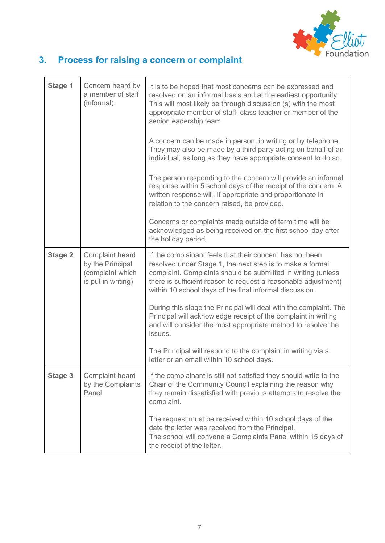

# <span id="page-6-0"></span>**3. Process for raising a concern or complaint**

| Stage 1        | Concern heard by<br>a member of staff<br>(informal)                           | It is to be hoped that most concerns can be expressed and<br>resolved on an informal basis and at the earliest opportunity.<br>This will most likely be through discussion (s) with the most<br>appropriate member of staff; class teacher or member of the<br>senior leadership team.                             |
|----------------|-------------------------------------------------------------------------------|--------------------------------------------------------------------------------------------------------------------------------------------------------------------------------------------------------------------------------------------------------------------------------------------------------------------|
|                |                                                                               | A concern can be made in person, in writing or by telephone.<br>They may also be made by a third party acting on behalf of an<br>individual, as long as they have appropriate consent to do so.                                                                                                                    |
|                |                                                                               | The person responding to the concern will provide an informal<br>response within 5 school days of the receipt of the concern. A<br>written response will, if appropriate and proportionate in<br>relation to the concern raised, be provided.                                                                      |
|                |                                                                               | Concerns or complaints made outside of term time will be<br>acknowledged as being received on the first school day after<br>the holiday period.                                                                                                                                                                    |
| <b>Stage 2</b> | Complaint heard<br>by the Principal<br>(complaint which<br>is put in writing) | If the complainant feels that their concern has not been<br>resolved under Stage 1, the next step is to make a formal<br>complaint. Complaints should be submitted in writing (unless<br>there is sufficient reason to request a reasonable adjustment)<br>within 10 school days of the final informal discussion. |
|                |                                                                               | During this stage the Principal will deal with the complaint. The<br>Principal will acknowledge receipt of the complaint in writing<br>and will consider the most appropriate method to resolve the<br>issues.                                                                                                     |
|                |                                                                               | The Principal will respond to the complaint in writing via a<br>letter or an email within 10 school days.                                                                                                                                                                                                          |
| Stage 3        | Complaint heard<br>by the Complaints<br>Panel                                 | If the complainant is still not satisfied they should write to the<br>Chair of the Community Council explaining the reason why<br>they remain dissatisfied with previous attempts to resolve the<br>complaint.                                                                                                     |
|                |                                                                               | The request must be received within 10 school days of the<br>date the letter was received from the Principal.<br>The school will convene a Complaints Panel within 15 days of<br>the receipt of the letter.                                                                                                        |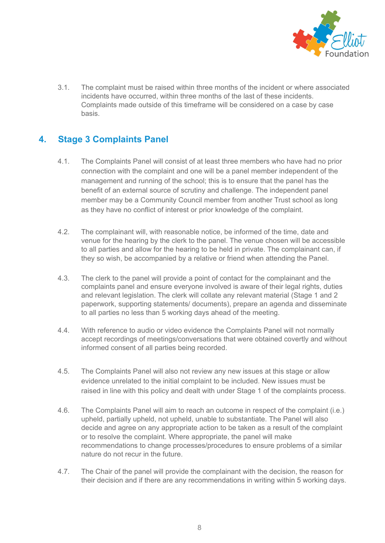

3.1. The complaint must be raised within three months of the incident or where associated incidents have occurred, within three months of the last of these incidents. Complaints made outside of this timeframe will be considered on a case by case basis.

# <span id="page-7-0"></span>**4. Stage 3 Complaints Panel**

- 4.1. The Complaints Panel will consist of at least three members who have had no prior connection with the complaint and one will be a panel member independent of the management and running of the school; this is to ensure that the panel has the benefit of an external source of scrutiny and challenge. The independent panel member may be a Community Council member from another Trust school as long as they have no conflict of interest or prior knowledge of the complaint.
- 4.2. The complainant will, with reasonable notice, be informed of the time, date and venue for the hearing by the clerk to the panel. The venue chosen will be accessible to all parties and allow for the hearing to be held in private. The complainant can, if they so wish, be accompanied by a relative or friend when attending the Panel.
- 4.3. The clerk to the panel will provide a point of contact for the complainant and the complaints panel and ensure everyone involved is aware of their legal rights, duties and relevant legislation. The clerk will collate any relevant material (Stage 1 and 2 paperwork, supporting statements/ documents), prepare an agenda and disseminate to all parties no less than 5 working days ahead of the meeting.
- 4.4. With reference to audio or video evidence the Complaints Panel will not normally accept recordings of meetings/conversations that were obtained covertly and without informed consent of all parties being recorded.
- 4.5. The Complaints Panel will also not review any new issues at this stage or allow evidence unrelated to the initial complaint to be included. New issues must be raised in line with this policy and dealt with under Stage 1 of the complaints process.
- 4.6. The Complaints Panel will aim to reach an outcome in respect of the complaint (i.e.) upheld, partially upheld, not upheld, unable to substantiate. The Panel will also decide and agree on any appropriate action to be taken as a result of the complaint or to resolve the complaint. Where appropriate, the panel will make recommendations to change processes/procedures to ensure problems of a similar nature do not recur in the future.
- 4.7. The Chair of the panel will provide the complainant with the decision, the reason for their decision and if there are any recommendations in writing within 5 working days.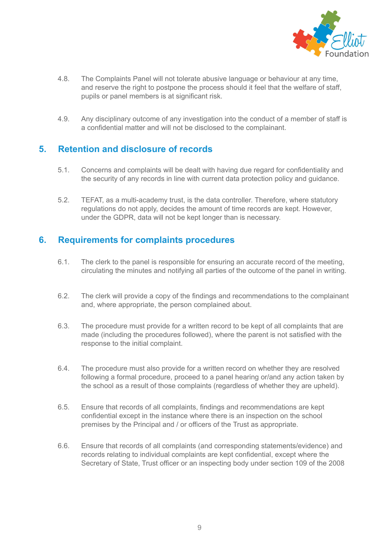

- 4.8. The Complaints Panel will not tolerate abusive language or behaviour at any time, and reserve the right to postpone the process should it feel that the welfare of staff, pupils or panel members is at significant risk.
- 4.9. Any disciplinary outcome of any investigation into the conduct of a member of staff is a confidential matter and will not be disclosed to the complainant.

#### <span id="page-8-0"></span>**5. Retention and disclosure of records**

- 5.1. Concerns and complaints will be dealt with having due regard for confidentiality and the security of any records in line with current data protection policy and guidance.
- 5.2. TEFAT, as a multi-academy trust, is the data controller. Therefore, where statutory regulations do not apply, decides the amount of time records are kept. However, under the GDPR, data will not be kept longer than is necessary.

#### <span id="page-8-1"></span>**6. Requirements for complaints procedures**

- 6.1. The clerk to the panel is responsible for ensuring an accurate record of the meeting, circulating the minutes and notifying all parties of the outcome of the panel in writing.
- 6.2. The clerk will provide a copy of the findings and recommendations to the complainant and, where appropriate, the person complained about.
- 6.3. The procedure must provide for a written record to be kept of all complaints that are made (including the procedures followed), where the parent is not satisfied with the response to the initial complaint.
- 6.4. The procedure must also provide for a written record on whether they are resolved following a formal procedure, proceed to a panel hearing or/and any action taken by the school as a result of those complaints (regardless of whether they are upheld).
- 6.5. Ensure that records of all complaints, findings and recommendations are kept confidential except in the instance where there is an inspection on the school premises by the Principal and / or officers of the Trust as appropriate.
- 6.6. Ensure that records of all complaints (and corresponding statements/evidence) and records relating to individual complaints are kept confidential, except where the Secretary of State, Trust officer or an inspecting body under section 109 of the 2008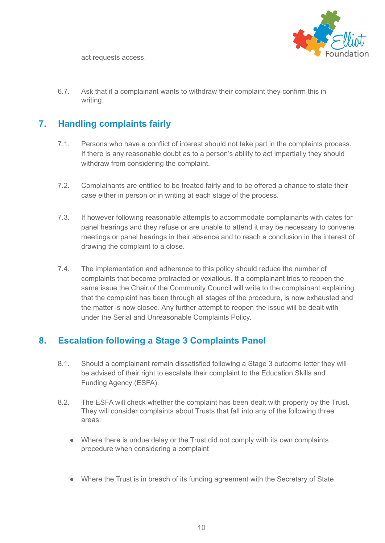

act requests access.

6.7. Ask that if a complainant wants to withdraw their complaint they confirm this in writing.

# <span id="page-9-0"></span>**7. Handling complaints fairly**

- 7.1. Persons who have a conflict of interest should not take part in the complaints process. If there is any reasonable doubt as to a person's ability to act impartially they should withdraw from considering the complaint.
- 7.2. Complainants are entitled to be treated fairly and to be offered a chance to state their case either in person or in writing at each stage of the process.
- 7.3. If however following reasonable attempts to accommodate complainants with dates for panel hearings and they refuse or are unable to attend it may be necessary to convene meetings or panel hearings in their absence and to reach a conclusion in the interest of drawing the complaint to a close.
- 7.4. The implementation and adherence to this policy should reduce the number of complaints that become protracted or vexatious. If a complainant tries to reopen the same issue the Chair of the Community Council will write to the complainant explaining that the complaint has been through all stages of the procedure, is now exhausted and the matter is now closed. Any further attempt to reopen the issue will be dealt with under the Serial and Unreasonable Complaints Policy.

## <span id="page-9-1"></span>**8. Escalation following a Stage 3 Complaints Panel**

- 8.1. Should a complainant remain dissatisfied following a Stage 3 outcome letter they will be advised of their right to escalate their complaint to the Education Skills and Funding Agency (ESFA).
- 8.2. The ESFA will check whether the complaint has been dealt with properly by the Trust. They will consider complaints about Trusts that fall into any of the following three areas:
	- Where there is undue delay or the Trust did not comply with its own complaints procedure when considering a complaint
	- Where the Trust is in breach of its funding agreement with the Secretary of State